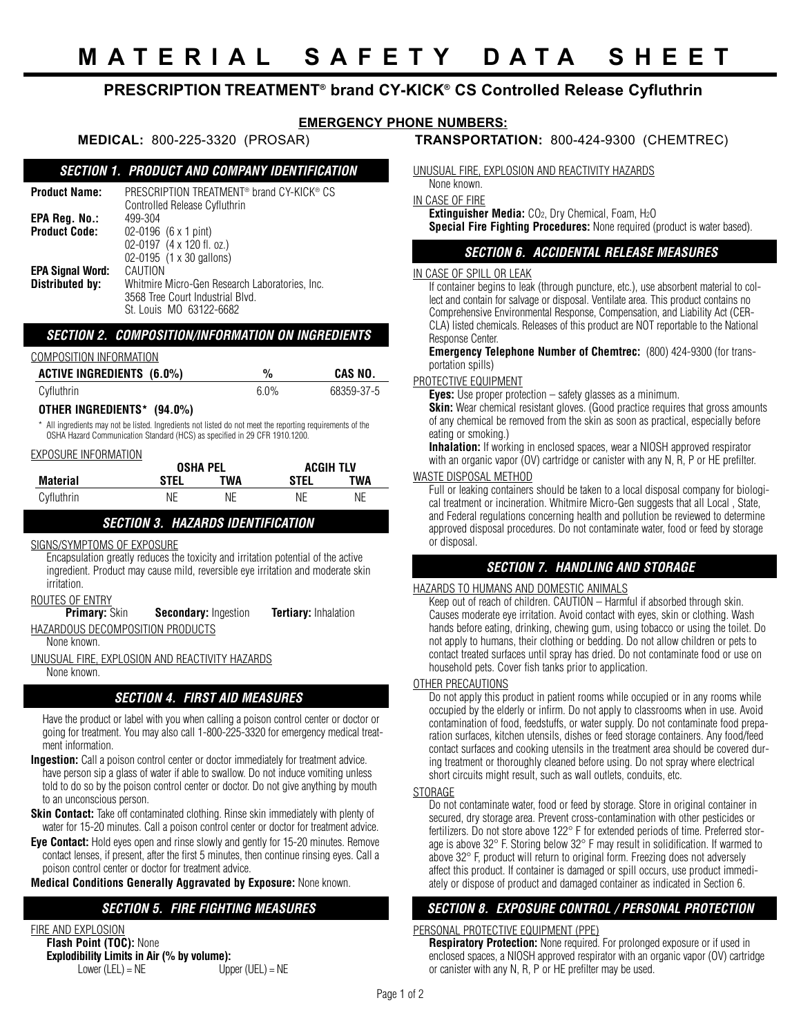# **PRESCRIPTION TREATMENT® brand CY-KICK® CS Controlled Release Cyfluthrin**

# **EMERGENCY PHONE NUMBERS:**

## **MEDICAL:** 800-225-3320 (PROSAR) **TRANSPORTATION:** 800-424-9300 (CHEMTREC)

## *SECTION 1. PRODUCT AND COMPANY IDENTIFICATION*

| Product Name:        | PRESCRIPTION TREATMENT <sup>®</sup> brand CY-KICK <sup>®</sup> CS |  |  |  |
|----------------------|-------------------------------------------------------------------|--|--|--|
|                      | Controlled Release Cyfluthrin                                     |  |  |  |
| EPA Reg. No.:        | 499-304                                                           |  |  |  |
| <b>Product Code:</b> | $02-0196$ (6 x 1 pint)                                            |  |  |  |
|                      | 02-0197 (4 x 120 fl. oz.)                                         |  |  |  |
|                      | 02-0195 (1 x 30 gallons)                                          |  |  |  |
| EPA Signal Word:     | CAUTION                                                           |  |  |  |
| Distributed by:      | Whitmire Micro-Gen Research Laboratories, Inc.                    |  |  |  |
|                      | 3568 Tree Court Industrial Blvd.                                  |  |  |  |
|                      | St. Louis MO 63122-6682                                           |  |  |  |

#### *SECTION 2. COMPOSITION/INFORMATION ON INGREDIENTS*

| COMPOSITION INFORMATION          |      |            |  |
|----------------------------------|------|------------|--|
| <b>ACTIVE INGREDIENTS (6.0%)</b> | $\%$ | CAS NO.    |  |
| Cyfluthrin                       | 6.0% | 68359-37-5 |  |

#### **OTHER INGREDIENTS\* (94.0%)**

All ingredients may not be listed. Ingredients not listed do not meet the reporting requirements of the OSHA Hazard Communication Standard (HCS) as specified in 29 CFR 1910.1200.

#### EXPOSURE INFORMATION

|                 |      | <b>OSHA PEL</b> |      |     |  | <b>ACGIH TLV</b> |  |
|-----------------|------|-----------------|------|-----|--|------------------|--|
| <b>Material</b> | STEL | TWA             | STEL | TWA |  |                  |  |
| Cyfluthrin      | NE.  | NE.             | NE   | NE  |  |                  |  |

### *SECTION 3. HAZARDS IDENTIFICATION*

#### SIGNS/SYMPTOMS OF EXPOSURE

Encapsulation greatly reduces the toxicity and irritation potential of the active ingredient. Product may cause mild, reversible eye irritation and moderate skin irritation.

```
ROUTES OF ENTRY
```
**Primary:** Skin **Secondary:** Ingestion **Tertiary:** Inhalation

# HAZARDOUS DECOMPOSITION PRODUCTS

None known.

UNUSUAL FIRE, EXPLOSION AND REACTIVITY HAZARDS None known.

## *SECTION 4. FIRST AID MEASURES*

Have the product or label with you when calling a poison control center or doctor or going for treatment. You may also call 1-800-225-3320 for emergency medical treatment information.

**Ingestion:** Call a poison control center or doctor immediately for treatment advice. have person sip a glass of water if able to swallow. Do not induce vomiting unless told to do so by the poison control center or doctor. Do not give anything by mouth to an unconscious person.

**Skin Contact:** Take off contaminated clothing. Rinse skin immediately with plenty of water for 15-20 minutes. Call a poison control center or doctor for treatment advice.

**Eye Contact:** Hold eyes open and rinse slowly and gently for 15-20 minutes. Remove contact lenses, if present, after the first 5 minutes, then continue rinsing eyes. Call a poison control center or doctor for treatment advice.

**Medical Conditions Generally Aggravated by Exposure:** None known.

# *SECTION 5. FIRE FIGHTING MEASURES*

#### FIRE AND EXPLOSION **Flash Point (TOC):** None **Explodibility Limits in Air (% by volume):**<br>Lower (LEL) = NE UDD  $U$ pper (UEL) = NE

UNUSUAL FIRE, EXPLOSION AND REACTIVITY HAZARDS

None known. IN CASE OF FIRE

**Extinguisher Media:** CO2, Dry Chemical, Foam, H2O

**Special Fire Fighting Procedures:** None required (product is water based).

## *SECTION 6. ACCIDENTAL RELEASE MEASURES*

## IN CASE OF SPILL OR LEAK

If container begins to leak (through puncture, etc.), use absorbent material to collect and contain for salvage or disposal. Ventilate area. This product contains no Comprehensive Environmental Response, Compensation, and Liability Act (CER-CLA) listed chemicals. Releases of this product are NOT reportable to the National Response Center.

**Emergency Telephone Number of Chemtrec:** (800) 424-9300 (for transportation spills)

### PROTECTIVE EQUIPMENT

**Eyes:** Use proper protection – safety glasses as a minimum. **Skin:** Wear chemical resistant gloves. (Good practice requires that gross amounts of any chemical be removed from the skin as soon as practical, especially before eating or smoking.)

**Inhalation:** If working in enclosed spaces, wear a NIOSH approved respirator with an organic vapor (OV) cartridge or canister with any N, R, P or HE prefilter.

## WASTE DISPOSAL METHOD

Full or leaking containers should be taken to a local disposal company for biological treatment or incineration. Whitmire Micro-Gen suggests that all Local , State, and Federal regulations concerning health and pollution be reviewed to determine approved disposal procedures. Do not contaminate water, food or feed by storage or disposal.

# *SECTION 7. HANDLING AND STORAGE*

## HAZARDS TO HUMANS AND DOMESTIC ANIMALS

Keep out of reach of children. CAUTION – Harmful if absorbed through skin. Causes moderate eye irritation. Avoid contact with eyes, skin or clothing. Wash hands before eating, drinking, chewing gum, using tobacco or using the toilet. Do not apply to humans, their clothing or bedding. Do not allow children or pets to contact treated surfaces until spray has dried. Do not contaminate food or use on household pets. Cover fish tanks prior to application.

### OTHER PRECAUTIONS

Do not apply this product in patient rooms while occupied or in any rooms while occupied by the elderly or infirm. Do not apply to classrooms when in use. Avoid contamination of food, feedstuffs, or water supply. Do not contaminate food preparation surfaces, kitchen utensils, dishes or feed storage containers. Any food/feed contact surfaces and cooking utensils in the treatment area should be covered during treatment or thoroughly cleaned before using. Do not spray where electrical short circuits might result, such as wall outlets, conduits, etc.

#### **STORAGE**

Do not contaminate water, food or feed by storage. Store in original container in secured, dry storage area. Prevent cross-contamination with other pesticides or fertilizers. Do not store above 122° F for extended periods of time. Preferred storage is above 32° F. Storing below 32° F may result in solidification. If warmed to above 32° F, product will return to original form. Freezing does not adversely affect this product. If container is damaged or spill occurs, use product immediately or dispose of product and damaged container as indicated in Section 6.

## *SECTION 8. EXPOSURE CONTROL / PERSONAL PROTECTION*

### PERSONAL PROTECTIVE EQUIPMENT (PPE)

**Respiratory Protection:** None required. For prolonged exposure or if used in enclosed spaces, a NIOSH approved respirator with an organic vapor (OV) cartridge or canister with any N, R, P or HE prefilter may be used.